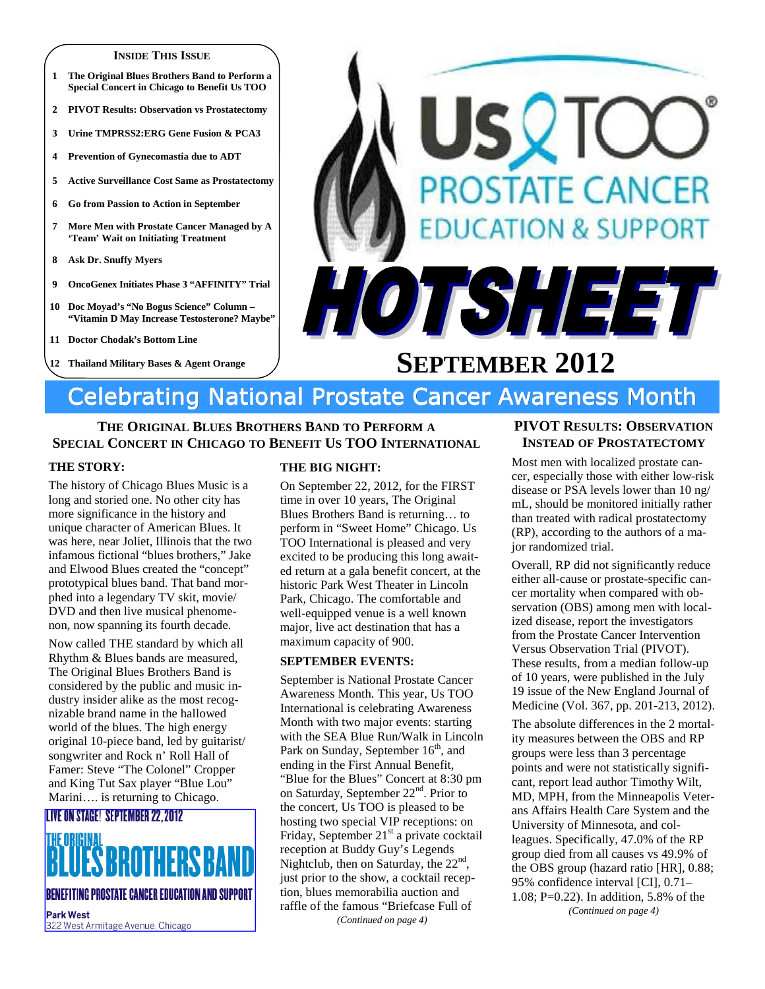#### **INSIDE THIS ISSUE**

- **1 The Original Blues Brothers Band to Perform a Special Concert in Chicago to Benefit Us TOO**
- **2 PIVOT Results: Observation vs Prostatectomy**
- **3 Urine TMPRSS2:ERG Gene Fusion & PCA3**
- **4 Prevention of Gynecomastia due to ADT**
- **5 Active Surveillance Cost Same as Prostatectomy**
- **6 Go from Passion to Action in September**
- **7 More Men with Prostate Cancer Managed by A 'Team' Wait on Initiating Treatment**
- **8 Ask Dr. Snuffy Myers**
- **9 OncoGenex Initiates Phase 3 "AFFINITY" Trial**
- **10 Doc Moyad's "No Bogus Science" Column "Vitamin D May Increase Testosterone? Maybe"**
- **11 Doctor Chodak's Bottom Line**
- **12 Thailand Military Bases & Agent Orange**



# **SEPTEMBER 2012**

# Celebrating National Prostate Cancer Awareness Month

# **THE ORIGINAL BLUES BROTHERS BAND TO PERFORM A SPECIAL CONCERT IN CHICAGO TO BENEFIT US TOO INTERNATIONAL**

#### **THE STORY:**

The history of Chicago Blues Music is a long and storied one. No other city has more significance in the history and unique character of American Blues. It was here, near Joliet, Illinois that the two infamous fictional "blues brothers," Jake and Elwood Blues created the "concept" prototypical blues band. That band morphed into a legendary TV skit, movie/ DVD and then live musical phenomenon, now spanning its fourth decade.

Now called THE standard by which all Rhythm & Blues bands are measured, The Original Blues Brothers Band is considered by the public and music industry insider alike as the most recognizable brand name in the hallowed world of the blues. The high energy original 10-piece band, led by guitarist/ songwriter and Rock n' Roll Hall of Famer: Steve "The Colonel" Cropper and King Tut Sax player "Blue Lou" Marini…. is returning to Chicago.

# **LIVE ON STAGE! SEPTEMBER 22.2012**

**BENEFITING PROSTATE CANCER EDUCATION AND SUPPORT** 

**Park West** 322 West Armitage Avenue, Chicago

#### **THE BIG NIGHT:**

On September 22, 2012, for the FIRST time in over 10 years, The Original Blues Brothers Band is returning… to perform in "Sweet Home" Chicago. Us TOO International is pleased and very excited to be producing this long awaited return at a gala benefit concert, at the historic Park West Theater in Lincoln Park, Chicago. The comfortable and well-equipped venue is a well known major, live act destination that has a maximum capacity of 900.

#### **SEPTEMBER EVENTS:**

September is National Prostate Cancer Awareness Month. This year, Us TOO International is celebrating Awareness Month with two major events: starting with the SEA Blue Run/Walk in Lincoln Park on Sunday, September 16<sup>th</sup>, and ending in the First Annual Benefit, "Blue for the Blues" Concert at 8:30 pm on Saturday, September 22<sup>nd</sup>. Prior to the concert, Us TOO is pleased to be hosting two special VIP receptions: on Friday, September  $21<sup>st</sup>$  a private cocktail reception at Buddy Guy's Legends Nightclub, then on Saturday, the 22<sup>nd</sup>, just prior to the show, a cocktail reception, blues memorabilia auction and raffle of the famous "Briefcase Full of *(Continued on page 4)* 

# **PIVOT RESULTS: OBSERVATION INSTEAD OF PROSTATECTOMY**

Most men with localized prostate cancer, especially those with either low-risk disease or PSA levels lower than 10 ng/ mL, should be monitored initially rather than treated with radical prostatectomy (RP), according to the authors of a major randomized trial.

Overall, RP did not significantly reduce either all-cause or prostate-specific cancer mortality when compared with observation (OBS) among men with localized disease, report the investigators from the Prostate Cancer Intervention Versus Observation Trial (PIVOT). These results, from a median follow-up of 10 years, were published in the July 19 issue of the New England Journal of Medicine (Vol. 367, pp. 201-213, 2012).

The absolute differences in the 2 mortality measures between the OBS and RP groups were less than 3 percentage points and were not statistically significant, report lead author Timothy Wilt, MD, MPH, from the Minneapolis Veterans Affairs Health Care System and the University of Minnesota, and colleagues. Specifically, 47.0% of the RP group died from all causes vs 49.9% of the OBS group (hazard ratio [HR], 0.88; 95% confidence interval [CI], 0.71– 1.08; P=0.22). In addition, 5.8% of the *(Continued on page 4)*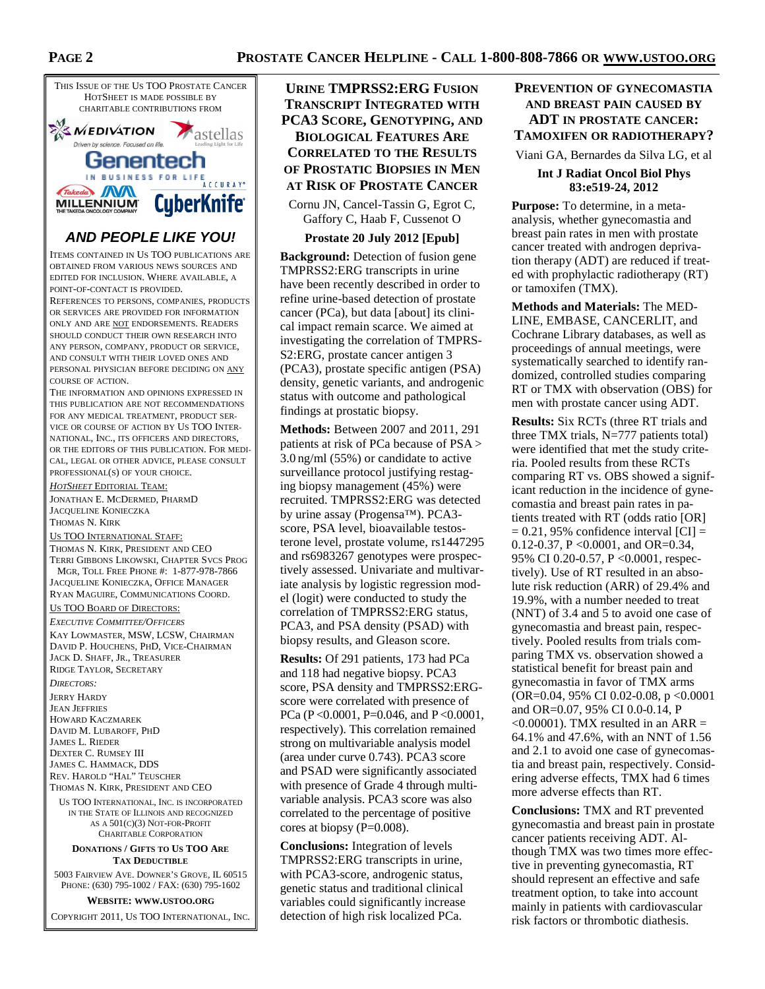# **PROSTATE CANCER HELPLINE - CALL 1-800-808-7866 OR WWW.USTOO.ORG**





# **AND PEOPLE LIKE YOU!**

ITEMS CONTAINED IN US TOO PUBLICATIONS ARE OBTAINED FROM VARIOUS NEWS SOURCES AND EDITED FOR INCLUSION. WHERE AVAILABLE, A POINT-OF-CONTACT IS PROVIDED.

REFERENCES TO PERSONS, COMPANIES, PRODUCTS OR SERVICES ARE PROVIDED FOR INFORMATION ONLY AND ARE NOT ENDORSEMENTS. READERS SHOULD CONDUCT THEIR OWN RESEARCH INTO ANY PERSON, COMPANY, PRODUCT OR SERVICE, AND CONSULT WITH THEIR LOVED ONES AND PERSONAL PHYSICIAN BEFORE DECIDING ON ANY COURSE OF ACTION.

THE INFORMATION AND OPINIONS EXPRESSED IN THIS PUBLICATION ARE NOT RECOMMENDATIONS FOR ANY MEDICAL TREATMENT, PRODUCT SER-VICE OR COURSE OF ACTION BY US TOO INTER-NATIONAL, INC., ITS OFFICERS AND DIRECTORS, OR THE EDITORS OF THIS PUBLICATION. FOR MEDI-CAL, LEGAL OR OTHER ADVICE, PLEASE CONSULT PROFESSIONAL(S) OF YOUR CHOICE.

*HOTSHEET* EDITORIAL TEAM: JONATHAN E. MCDERMED, PHARMD JACQUELINE KONIECZKA THOMAS N. KIRK US TOO INTERNATIONAL STAFF: THOMAS N. KIRK, PRESIDENT AND CEO TERRI GIBBONS LIKOWSKI, CHAPTER SVCS PROG MGR, TOLL FREE PHONE #: 1-877-978-7866

JACQUELINE KONIECZKA, OFFICE MANAGER RYAN MAGUIRE, COMMUNICATIONS COORD.

#### US TOO BOARD OF DIRECTORS:

*EXECUTIVE COMMITTEE/OFFICERS* KAY LOWMASTER, MSW, LCSW, CHAIRMAN DAVID P. HOUCHENS, PHD, VICE-CHAIRMAN JACK D. SHAFF, JR., TREASURER RIDGE TAYLOR, SECRETARY

*DIRECTORS:*  JERRY HARDY JEAN JEFFRIES HOWARD KACZMAREK DAVID M. LUBAROFF, PHD JAMES L. RIEDER DEXTER C. RUMSEY III JAMES C. HAMMACK, DDS REV. HAROLD "HAL" TEUSCHER

THOMAS N. KIRK, PRESIDENT AND CEO

US TOO INTERNATIONAL, INC. IS INCORPORATED IN THE STATE OF ILLINOIS AND RECOGNIZED AS A 501(C)(3) NOT-FOR-PROFIT CHARITABLE CORPORATION

#### **DONATIONS / GIFTS TO US TOO ARE TAX DEDUCTIBLE**

5003 FAIRVIEW AVE. DOWNER'S GROVE, IL 60515 PHONE: (630) 795-1002 / FAX: (630) 795-1602

**WEBSITE: WWW.USTOO.ORG**

COPYRIGHT 2011, US TOO INTERNATIONAL, INC.

# **URINE TMPRSS2:ERG FUSION TRANSCRIPT INTEGRATED WITH PCA3 SCORE, GENOTYPING, AND BIOLOGICAL FEATURES ARE CORRELATED TO THE RESULTS OF PROSTATIC BIOPSIES IN MEN AT RISK OF PROSTATE CANCER**

Cornu JN, Cancel-Tassin G, Egrot C, Gaffory C, Haab F, Cussenot O

#### **Prostate 20 July 2012 [Epub]**

**Background:** Detection of fusion gene TMPRSS2:ERG transcripts in urine have been recently described in order to refine urine-based detection of prostate cancer (PCa), but data [about] its clinical impact remain scarce. We aimed at investigating the correlation of TMPRS-S2:ERG, prostate cancer antigen 3 (PCA3), prostate specific antigen (PSA) density, genetic variants, and androgenic status with outcome and pathological findings at prostatic biopsy.

**Methods:** Between 2007 and 2011, 291 patients at risk of PCa because of PSA > 3.0 ng/ml (55%) or candidate to active surveillance protocol justifying restaging biopsy management (45%) were recruited. TMPRSS2:ERG was detected by urine assay (Progensa™). PCA3 score, PSA level, bioavailable testosterone level, prostate volume, rs1447295 and rs6983267 genotypes were prospectively assessed. Univariate and multivariate analysis by logistic regression model (logit) were conducted to study the correlation of TMPRSS2:ERG status, PCA3, and PSA density (PSAD) with biopsy results, and Gleason score.

**Results:** Of 291 patients, 173 had PCa and 118 had negative biopsy. PCA3 score, PSA density and TMPRSS2:ERGscore were correlated with presence of PCa (P <0.0001, P=0.046, and P <0.0001, respectively). This correlation remained strong on multivariable analysis model (area under curve 0.743). PCA3 score and PSAD were significantly associated with presence of Grade 4 through multivariable analysis. PCA3 score was also correlated to the percentage of positive cores at biopsy (P=0.008).

**Conclusions:** Integration of levels TMPRSS2:ERG transcripts in urine, with PCA3-score, androgenic status, genetic status and traditional clinical variables could significantly increase detection of high risk localized PCa.

# **PREVENTION OF GYNECOMASTIA AND BREAST PAIN CAUSED BY ADT IN PROSTATE CANCER: TAMOXIFEN OR RADIOTHERAPY?**

Viani GA, Bernardes da Silva LG, et al

#### **Int J Radiat Oncol Biol Phys 83:e519-24, 2012**

**Purpose:** To determine, in a metaanalysis, whether gynecomastia and breast pain rates in men with prostate cancer treated with androgen deprivation therapy (ADT) are reduced if treated with prophylactic radiotherapy (RT) or tamoxifen (TMX).

**Methods and Materials:** The MED-LINE, EMBASE, CANCERLIT, and Cochrane Library databases, as well as proceedings of annual meetings, were systematically searched to identify randomized, controlled studies comparing RT or TMX with observation (OBS) for men with prostate cancer using ADT.

**Results:** Six RCTs (three RT trials and three TMX trials,  $N=777$  patients total) were identified that met the study criteria. Pooled results from these RCTs comparing RT vs. OBS showed a significant reduction in the incidence of gynecomastia and breast pain rates in patients treated with RT (odds ratio [OR]  $= 0.21, 95\%$  confidence interval  $|CI| =$ 0.12-0.37, P <0.0001, and OR=0.34, 95% CI 0.20-0.57, P <0.0001, respectively). Use of RT resulted in an absolute risk reduction (ARR) of 29.4% and 19.9%, with a number needed to treat (NNT) of 3.4 and 5 to avoid one case of gynecomastia and breast pain, respectively. Pooled results from trials comparing TMX vs. observation showed a statistical benefit for breast pain and gynecomastia in favor of TMX arms (OR=0.04, 95% CI 0.02-0.08, p <0.0001 and OR=0.07, 95% CI 0.0-0.14, P  $\leq 0.00001$ ). TMX resulted in an ARR = 64.1% and 47.6%, with an NNT of 1.56 and 2.1 to avoid one case of gynecomastia and breast pain, respectively. Considering adverse effects, TMX had 6 times more adverse effects than RT.

**Conclusions:** TMX and RT prevented gynecomastia and breast pain in prostate cancer patients receiving ADT. Although TMX was two times more effective in preventing gynecomastia, RT should represent an effective and safe treatment option, to take into account mainly in patients with cardiovascular risk factors or thrombotic diathesis.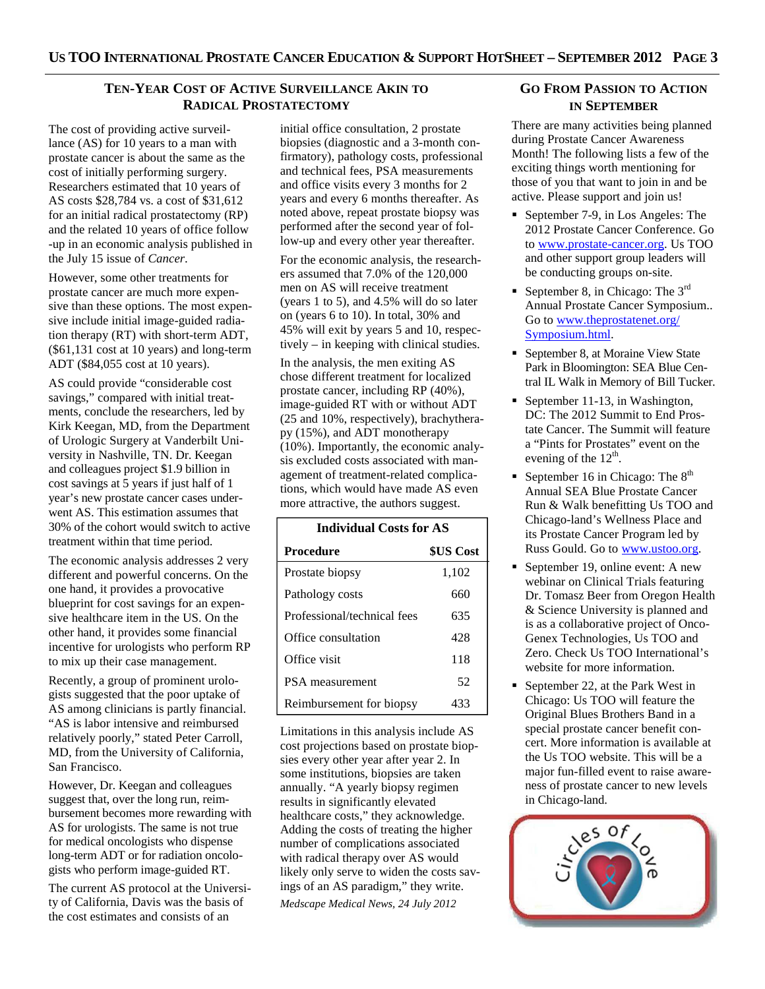# **TEN-YEAR COST OF ACTIVE SURVEILLANCE AKIN TO RADICAL PROSTATECTOMY**

The cost of providing active surveillance (AS) for 10 years to a man with prostate cancer is about the same as the cost of initially performing surgery. Researchers estimated that 10 years of AS costs \$28,784 vs. a cost of \$31,612 for an initial radical prostatectomy (RP) and the related 10 years of office follow -up in an economic analysis published in the July 15 issue of *Cancer*.

However, some other treatments for prostate cancer are much more expensive than these options. The most expensive include initial image-guided radiation therapy (RT) with short-term ADT, (\$61,131 cost at 10 years) and long-term ADT (\$84,055 cost at 10 years).

AS could provide "considerable cost savings," compared with initial treatments, conclude the researchers, led by Kirk Keegan, MD, from the Department of Urologic Surgery at Vanderbilt University in Nashville, TN. Dr. Keegan and colleagues project \$1.9 billion in cost savings at 5 years if just half of 1 year's new prostate cancer cases underwent AS. This estimation assumes that 30% of the cohort would switch to active treatment within that time period.

The economic analysis addresses 2 very different and powerful concerns. On the one hand, it provides a provocative blueprint for cost savings for an expensive healthcare item in the US. On the other hand, it provides some financial incentive for urologists who perform RP to mix up their case management.

Recently, a group of prominent urologists suggested that the poor uptake of AS among clinicians is partly financial. "AS is labor intensive and reimbursed relatively poorly," stated Peter Carroll, MD, from the University of California, San Francisco.

However, Dr. Keegan and colleagues suggest that, over the long run, reimbursement becomes more rewarding with AS for urologists. The same is not true for medical oncologists who dispense long-term ADT or for radiation oncologists who perform image-guided RT.

The current AS protocol at the University of California, Davis was the basis of the cost estimates and consists of an

initial office consultation, 2 prostate biopsies (diagnostic and a 3-month confirmatory), pathology costs, professional and technical fees, PSA measurements and office visits every 3 months for 2 years and every 6 months thereafter. As noted above, repeat prostate biopsy was performed after the second year of follow-up and every other year thereafter.

For the economic analysis, the researchers assumed that 7.0% of the 120,000 men on AS will receive treatment (years 1 to 5), and 4.5% will do so later on (years 6 to 10). In total, 30% and 45% will exit by years 5 and 10, respectively – in keeping with clinical studies.

In the analysis, the men exiting AS chose different treatment for localized prostate cancer, including RP (40%), image-guided RT with or without ADT (25 and 10%, respectively), brachytherapy (15%), and ADT monotherapy (10%). Importantly, the economic analysis excluded costs associated with management of treatment-related complications, which would have made AS even more attractive, the authors suggest.

| <b>Individual Costs for AS</b> |           |  |
|--------------------------------|-----------|--|
| Procedure                      | \$US Cost |  |
| Prostate biopsy                | 1,102     |  |
| Pathology costs                | 660       |  |
| Professional/technical fees    | 635       |  |
| Office consultation            | 428       |  |
| Office visit                   | 118       |  |
| PSA measurement                | 52        |  |
| Reimbursement for biopsy       | 433       |  |

Limitations in this analysis include AS cost projections based on prostate biopsies every other year after year 2. In some institutions, biopsies are taken annually. "A yearly biopsy regimen results in significantly elevated healthcare costs," they acknowledge. Adding the costs of treating the higher number of complications associated with radical therapy over AS would likely only serve to widen the costs savings of an AS paradigm," they write. *Medscape Medical News, 24 July 2012* 

# **GO FROM PASSION TO ACTION IN SEPTEMBER**

There are many activities being planned during Prostate Cancer Awareness Month! The following lists a few of the exciting things worth mentioning for those of you that want to join in and be active. Please support and join us!

- September 7-9, in Los Angeles: The 2012 Prostate Cancer Conference. Go to www.prostate-cancer.org. Us TOO and other support group leaders will be conducting groups on-site.
- September 8, in Chicago: The  $3<sup>rd</sup>$ Annual Prostate Cancer Symposium.. Go to www.theprostatenet.org/ Symposium.html.
- September 8, at Moraine View State Park in Bloomington: SEA Blue Central IL Walk in Memory of Bill Tucker.
- September 11-13, in Washington, DC: The 2012 Summit to End Prostate Cancer. The Summit will feature a "Pints for Prostates" event on the evening of the  $12<sup>th</sup>$ .
- September 16 in Chicago: The  $8<sup>th</sup>$ Annual SEA Blue Prostate Cancer Run & Walk benefitting Us TOO and Chicago-land's Wellness Place and its Prostate Cancer Program led by Russ Gould. Go to www.ustoo.org.
- September 19, online event: A new webinar on Clinical Trials featuring Dr. Tomasz Beer from Oregon Health & Science University is planned and is as a collaborative project of Onco-Genex Technologies, Us TOO and Zero. Check Us TOO International's website for more information.
- September 22, at the Park West in Chicago: Us TOO will feature the Original Blues Brothers Band in a special prostate cancer benefit concert. More information is available at the Us TOO website. This will be a major fun-filled event to raise awareness of prostate cancer to new levels in Chicago-land.

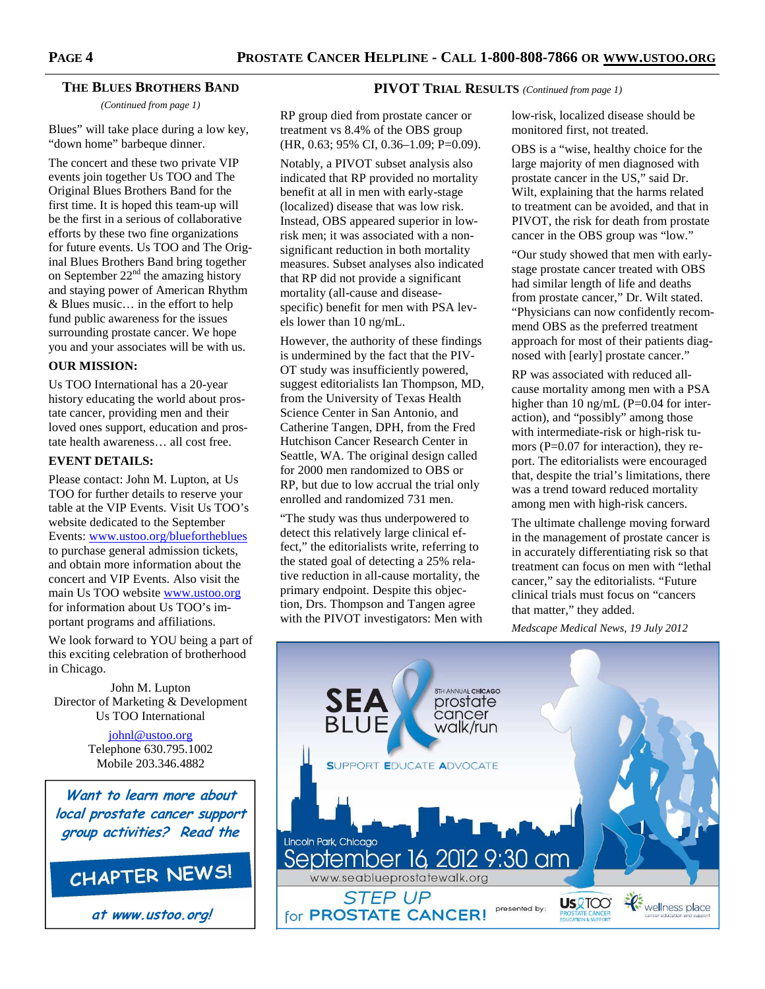**PIVOT TRIAL RESULTS** *(Continued from page 1)* 

#### **THE BLUES BROTHERS BAND**

*(Continued from page 1)* 

Blues" will take place during a low key, "down home" barbeque dinner.

The concert and these two private VIP events join together Us TOO and The Original Blues Brothers Band for the first time. It is hoped this team-up will be the first in a serious of collaborative efforts by these two fine organizations for future events. Us TOO and The Original Blues Brothers Band bring together on September  $22<sup>nd</sup>$  the amazing history and staying power of American Rhythm & Blues music… in the effort to help fund public awareness for the issues surrounding prostate cancer. We hope you and your associates will be with us.

#### **OUR MISSION:**

Us TOO International has a 20-year history educating the world about prostate cancer, providing men and their loved ones support, education and prostate health awareness… all cost free.

#### **EVENT DETAILS:**

Please contact: John M. Lupton, at Us TOO for further details to reserve your table at the VIP Events. Visit Us TOO's website dedicated to the September Events: www.ustoo.org/bluefortheblues to purchase general admission tickets, and obtain more information about the concert and VIP Events. Also visit the main Us TOO website www.ustoo.org for information about Us TOO's important programs and affiliations.

We look forward to YOU being a part of this exciting celebration of brotherhood in Chicago.

John M. Lupton Director of Marketing & Development Us TOO International

> johnl@ustoo.org Telephone 630.795.1002 Mobile 203.346.4882

**Want to learn more about local prostate cancer support group activities? Read the**



**at www.ustoo.org!**

RP group died from prostate cancer or treatment vs 8.4% of the OBS group (HR, 0.63; 95% CI, 0.36–1.09; P=0.09).

Notably, a PIVOT subset analysis also indicated that RP provided no mortality benefit at all in men with early-stage (localized) disease that was low risk. Instead, OBS appeared superior in lowrisk men; it was associated with a nonsignificant reduction in both mortality measures. Subset analyses also indicated that RP did not provide a significant mortality (all-cause and diseasespecific) benefit for men with PSA levels lower than 10 ng/mL.

However, the authority of these findings is undermined by the fact that the PIV-OT study was insufficiently powered, suggest editorialists Ian Thompson, MD, from the University of Texas Health Science Center in San Antonio, and Catherine Tangen, DPH, from the Fred Hutchison Cancer Research Center in Seattle, WA. The original design called for 2000 men randomized to OBS or RP, but due to low accrual the trial only enrolled and randomized 731 men.

"The study was thus underpowered to detect this relatively large clinical effect," the editorialists write, referring to the stated goal of detecting a 25% relative reduction in all-cause mortality, the primary endpoint. Despite this objection, Drs. Thompson and Tangen agree with the PIVOT investigators: Men with

low-risk, localized disease should be monitored first, not treated.

OBS is a "wise, healthy choice for the large majority of men diagnosed with prostate cancer in the US," said Dr. Wilt, explaining that the harms related to treatment can be avoided, and that in PIVOT, the risk for death from prostate cancer in the OBS group was "low."

"Our study showed that men with earlystage prostate cancer treated with OBS had similar length of life and deaths from prostate cancer," Dr. Wilt stated. "Physicians can now confidently recommend OBS as the preferred treatment approach for most of their patients diagnosed with [early] prostate cancer."

RP was associated with reduced allcause mortality among men with a PSA higher than 10 ng/mL (P=0.04 for interaction), and "possibly" among those with intermediate-risk or high-risk tumors (P=0.07 for interaction), they report. The editorialists were encouraged that, despite the trial's limitations, there was a trend toward reduced mortality among men with high-risk cancers.

The ultimate challenge moving forward in the management of prostate cancer is in accurately differentiating risk so that treatment can focus on men with "lethal cancer," say the editorialists. "Future clinical trials must focus on "cancers that matter," they added.

*Medscape Medical News, 19 July 2012* 

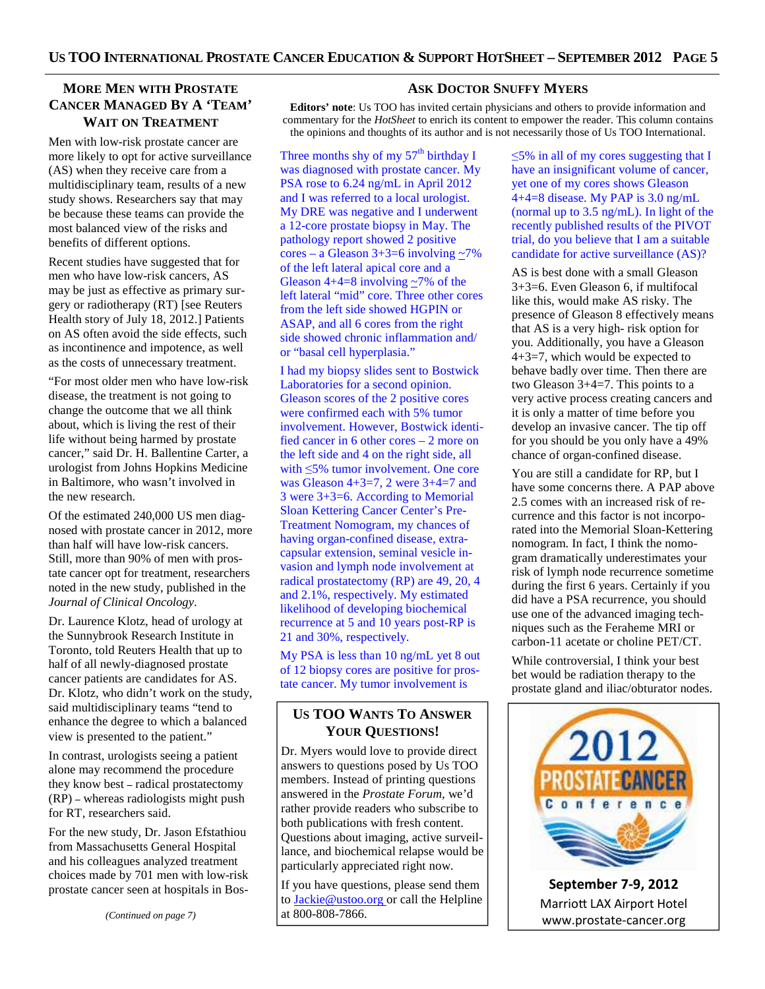# **MORE MEN WITH PROSTATE CANCER MANAGED BY A 'TEAM' WAIT ON TREATMENT**

Men with low-risk prostate cancer are more likely to opt for active surveillance (AS) when they receive care from a multidisciplinary team, results of a new study shows. Researchers say that may be because these teams can provide the most balanced view of the risks and benefits of different options.

Recent studies have suggested that for men who have low-risk cancers, AS may be just as effective as primary surgery or radiotherapy (RT) [see Reuters Health story of July 18, 2012.] Patients on AS often avoid the side effects, such as incontinence and impotence, as well as the costs of unnecessary treatment.

"For most older men who have low-risk disease, the treatment is not going to change the outcome that we all think about, which is living the rest of their life without being harmed by prostate cancer," said Dr. H. Ballentine Carter, a urologist from Johns Hopkins Medicine in Baltimore, who wasn't involved in the new research.

Of the estimated 240,000 US men diagnosed with prostate cancer in 2012, more than half will have low-risk cancers. Still, more than 90% of men with prostate cancer opt for treatment, researchers noted in the new study, published in the *Journal of Clinical Oncology*.

Dr. Laurence Klotz, head of urology at the Sunnybrook Research Institute in Toronto, told Reuters Health that up to half of all newly-diagnosed prostate cancer patients are candidates for AS. Dr. Klotz, who didn't work on the study, said multidisciplinary teams "tend to enhance the degree to which a balanced view is presented to the patient."

In contrast, urologists seeing a patient alone may recommend the procedure they know best **–** radical prostatectomy (RP) **–** whereas radiologists might push for RT, researchers said.

For the new study, Dr. Jason Efstathiou from Massachusetts General Hospital and his colleagues analyzed treatment choices made by 701 men with low-risk prostate cancer seen at hospitals in Bos-

*(Continued on page 7)* 

## **ASK DOCTOR SNUFFY MYERS**

**Editors' note**: Us TOO has invited certain physicians and others to provide information and commentary for the *HotSheet* to enrich its content to empower the reader. This column contains the opinions and thoughts of its author and is not necessarily those of Us TOO International.

Three months shy of my  $57<sup>th</sup>$  birthday I was diagnosed with prostate cancer. My PSA rose to 6.24 ng/mL in April 2012 and I was referred to a local urologist. My DRE was negative and I underwent a 12-core prostate biopsy in May. The pathology report showed 2 positive cores – a Gleason  $3+3=6$  involving  $\sim$ 7% of the left lateral apical core and a Gleason  $4+4=8$  involving  $\sim 7\%$  of the left lateral "mid" core. Three other cores from the left side showed HGPIN or ASAP, and all 6 cores from the right side showed chronic inflammation and/ or "basal cell hyperplasia."

I had my biopsy slides sent to Bostwick Laboratories for a second opinion. Gleason scores of the 2 positive cores were confirmed each with 5% tumor involvement. However, Bostwick identified cancer in 6 other cores – 2 more on the left side and 4 on the right side, all with ≤5% tumor involvement. One core was Gleason  $4+3=7$ , 2 were  $3+4=7$  and 3 were 3+3=6. According to Memorial Sloan Kettering Cancer Center's Pre-Treatment Nomogram, my chances of having organ-confined disease, extracapsular extension, seminal vesicle invasion and lymph node involvement at radical prostatectomy (RP) are 49, 20, 4 and 2.1%, respectively. My estimated likelihood of developing biochemical recurrence at 5 and 10 years post-RP is 21 and 30%, respectively.

My PSA is less than 10 ng/mL yet 8 out of 12 biopsy cores are positive for prostate cancer. My tumor involvement is

# **US TOO WANTS TO ANSWER YOUR QUESTIONS!**

Dr. Myers would love to provide direct answers to questions posed by Us TOO members. Instead of printing questions answered in the *Prostate Forum*, we'd rather provide readers who subscribe to both publications with fresh content. Questions about imaging, active surveillance, and biochemical relapse would be particularly appreciated right now.

If you have questions, please send them to **Jackie@ustoo.org** or call the Helpline at 800-808-7866.

≤5% in all of my cores suggesting that I have an insignificant volume of cancer, yet one of my cores shows Gleason 4+4=8 disease. My PAP is 3.0 ng/mL (normal up to 3.5 ng/mL). In light of the recently published results of the PIVOT trial, do you believe that I am a suitable candidate for active surveillance (AS)?

AS is best done with a small Gleason 3+3=6. Even Gleason 6, if multifocal like this, would make AS risky. The presence of Gleason 8 effectively means that AS is a very high- risk option for you. Additionally, you have a Gleason 4+3=7, which would be expected to behave badly over time. Then there are two Gleason 3+4=7. This points to a very active process creating cancers and it is only a matter of time before you develop an invasive cancer. The tip off for you should be you only have a 49% chance of organ-confined disease.

You are still a candidate for RP, but I have some concerns there. A PAP above 2.5 comes with an increased risk of recurrence and this factor is not incorporated into the Memorial Sloan-Kettering nomogram. In fact, I think the nomogram dramatically underestimates your risk of lymph node recurrence sometime during the first 6 years. Certainly if you did have a PSA recurrence, you should use one of the advanced imaging techniques such as the Feraheme MRI or carbon-11 acetate or choline PET/CT.

While controversial, I think your best bet would be radiation therapy to the prostate gland and iliac/obturator nodes.



**September 7-9, 2012**  Marriott LAX Airport Hotel www.prostate-cancer.org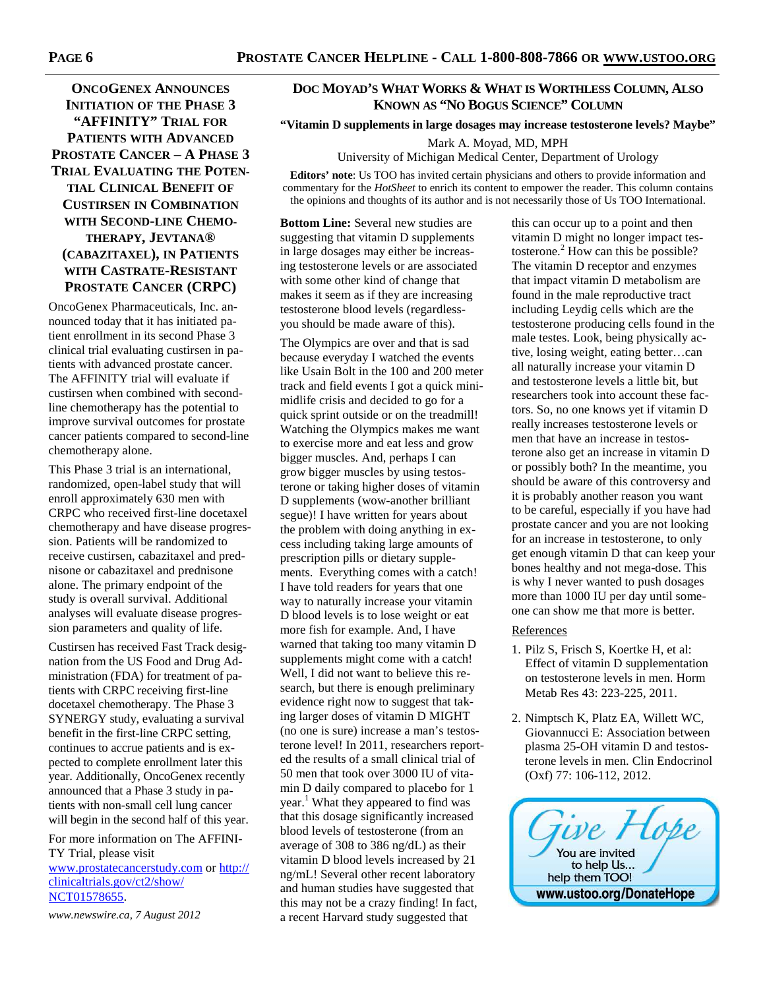**ONCOGENEX ANNOUNCES INITIATION OF THE PHASE 3 "AFFINITY" TRIAL FOR PATIENTS WITH ADVANCED PROSTATE CANCER – A PHASE 3 TRIAL EVALUATING THE POTEN-TIAL CLINICAL BENEFIT OF CUSTIRSEN IN COMBINATION WITH SECOND-LINE CHEMO-THERAPY, JEVTANA® (CABAZITAXEL), IN PATIENTS WITH CASTRATE-RESISTANT PROSTATE CANCER (CRPC)** 

OncoGenex Pharmaceuticals, Inc. announced today that it has initiated patient enrollment in its second Phase 3 clinical trial evaluating custirsen in patients with advanced prostate cancer. The AFFINITY trial will evaluate if custirsen when combined with secondline chemotherapy has the potential to improve survival outcomes for prostate cancer patients compared to second-line chemotherapy alone.

This Phase 3 trial is an international, randomized, open-label study that will enroll approximately 630 men with CRPC who received first-line docetaxel chemotherapy and have disease progression. Patients will be randomized to receive custirsen, cabazitaxel and prednisone or cabazitaxel and prednisone alone. The primary endpoint of the study is overall survival. Additional analyses will evaluate disease progression parameters and quality of life.

Custirsen has received Fast Track designation from the US Food and Drug Administration (FDA) for treatment of patients with CRPC receiving first-line docetaxel chemotherapy. The Phase 3 SYNERGY study, evaluating a survival benefit in the first-line CRPC setting, continues to accrue patients and is expected to complete enrollment later this year. Additionally, OncoGenex recently announced that a Phase 3 study in patients with non-small cell lung cancer will begin in the second half of this year.

For more information on The AFFINI-TY Trial, please visit www.prostatecancerstudy.com or http:// clinicaltrials.gov/ct2/show/ NCT01578655.

*www.newswire.ca, 7 August 2012* 

# **DOC MOYAD'S WHAT WORKS & WHAT IS WORTHLESS COLUMN, ALSO KNOWN AS "NO BOGUS SCIENCE" COLUMN**

### **"Vitamin D supplements in large dosages may increase testosterone levels? Maybe"**

Mark A. Moyad, MD, MPH

University of Michigan Medical Center, Department of Urology

**Editors' note**: Us TOO has invited certain physicians and others to provide information and commentary for the *HotSheet* to enrich its content to empower the reader. This column contains the opinions and thoughts of its author and is not necessarily those of Us TOO International.

**Bottom Line:** Several new studies are suggesting that vitamin D supplements in large dosages may either be increasing testosterone levels or are associated with some other kind of change that makes it seem as if they are increasing testosterone blood levels (regardlessyou should be made aware of this).

The Olympics are over and that is sad because everyday I watched the events like Usain Bolt in the 100 and 200 meter track and field events I got a quick minimidlife crisis and decided to go for a quick sprint outside or on the treadmill! Watching the Olympics makes me want to exercise more and eat less and grow bigger muscles. And, perhaps I can grow bigger muscles by using testosterone or taking higher doses of vitamin D supplements (wow-another brilliant segue)! I have written for years about the problem with doing anything in excess including taking large amounts of prescription pills or dietary supplements. Everything comes with a catch! I have told readers for years that one way to naturally increase your vitamin D blood levels is to lose weight or eat more fish for example. And, I have warned that taking too many vitamin D supplements might come with a catch! Well, I did not want to believe this research, but there is enough preliminary evidence right now to suggest that taking larger doses of vitamin D MIGHT (no one is sure) increase a man's testosterone level! In 2011, researchers reported the results of a small clinical trial of 50 men that took over 3000 IU of vitamin D daily compared to placebo for 1 year.<sup>1</sup> What they appeared to find was that this dosage significantly increased blood levels of testosterone (from an average of 308 to 386 ng/dL) as their vitamin D blood levels increased by 21 ng/mL! Several other recent laboratory and human studies have suggested that this may not be a crazy finding! In fact, a recent Harvard study suggested that

this can occur up to a point and then vitamin D might no longer impact testosterone.<sup>2</sup> How can this be possible? The vitamin D receptor and enzymes that impact vitamin D metabolism are found in the male reproductive tract including Leydig cells which are the testosterone producing cells found in the male testes. Look, being physically active, losing weight, eating better…can all naturally increase your vitamin D and testosterone levels a little bit, but researchers took into account these factors. So, no one knows yet if vitamin D really increases testosterone levels or men that have an increase in testosterone also get an increase in vitamin D or possibly both? In the meantime, you should be aware of this controversy and it is probably another reason you want to be careful, especially if you have had prostate cancer and you are not looking for an increase in testosterone, to only get enough vitamin D that can keep your bones healthy and not mega-dose. This is why I never wanted to push dosages more than 1000 IU per day until someone can show me that more is better.

#### **References**

- 1. Pilz S, Frisch S, Koertke H, et al: Effect of vitamin D supplementation on testosterone levels in men. Horm Metab Res 43: 223-225, 2011.
- 2. Nimptsch K, Platz EA, Willett WC, Giovannucci E: Association between plasma 25-OH vitamin D and testosterone levels in men. Clin Endocrinol (Oxf) 77: 106-112, 2012.

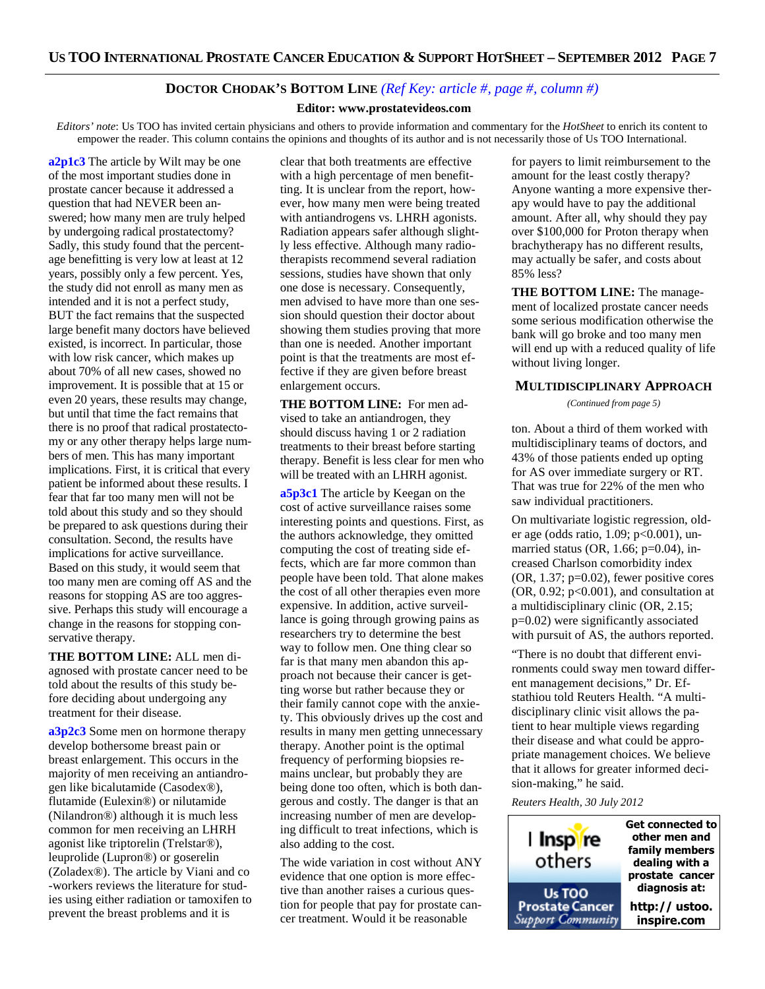# **DOCTOR CHODAK'S BOTTOM LINE** *(Ref Key: article #, page #, column #)*

#### **Editor: www.prostatevideos.com**

*Editors' note*: Us TOO has invited certain physicians and others to provide information and commentary for the *HotSheet* to enrich its content to empower the reader. This column contains the opinions and thoughts of its author and is not necessarily those of Us TOO International.

**a2p1c3** The article by Wilt may be one of the most important studies done in prostate cancer because it addressed a question that had NEVER been answered; how many men are truly helped by undergoing radical prostatectomy? Sadly, this study found that the percentage benefitting is very low at least at 12 years, possibly only a few percent. Yes, the study did not enroll as many men as intended and it is not a perfect study, BUT the fact remains that the suspected large benefit many doctors have believed existed, is incorrect. In particular, those with low risk cancer, which makes up about 70% of all new cases, showed no improvement. It is possible that at 15 or even 20 years, these results may change, but until that time the fact remains that there is no proof that radical prostatectomy or any other therapy helps large numbers of men. This has many important implications. First, it is critical that every patient be informed about these results. I fear that far too many men will not be told about this study and so they should be prepared to ask questions during their consultation. Second, the results have implications for active surveillance. Based on this study, it would seem that too many men are coming off AS and the reasons for stopping AS are too aggressive. Perhaps this study will encourage a change in the reasons for stopping conservative therapy.

**THE BOTTOM LINE:** ALL men diagnosed with prostate cancer need to be told about the results of this study before deciding about undergoing any treatment for their disease.

**a3p2c3** Some men on hormone therapy develop bothersome breast pain or breast enlargement. This occurs in the majority of men receiving an antiandrogen like bicalutamide (Casodex®), flutamide (Eulexin®) or nilutamide (Nilandron®) although it is much less common for men receiving an LHRH agonist like triptorelin (Trelstar®), leuprolide (Lupron®) or goserelin (Zoladex®). The article by Viani and co -workers reviews the literature for studies using either radiation or tamoxifen to prevent the breast problems and it is

clear that both treatments are effective with a high percentage of men benefitting. It is unclear from the report, however, how many men were being treated with antiandrogens vs. LHRH agonists. Radiation appears safer although slightly less effective. Although many radiotherapists recommend several radiation sessions, studies have shown that only one dose is necessary. Consequently, men advised to have more than one session should question their doctor about showing them studies proving that more than one is needed. Another important point is that the treatments are most effective if they are given before breast enlargement occurs.

**THE BOTTOM LINE:** For men advised to take an antiandrogen, they should discuss having 1 or 2 radiation treatments to their breast before starting therapy. Benefit is less clear for men who will be treated with an LHRH agonist.

**a5p3c1** The article by Keegan on the cost of active surveillance raises some interesting points and questions. First, as the authors acknowledge, they omitted computing the cost of treating side effects, which are far more common than people have been told. That alone makes the cost of all other therapies even more expensive. In addition, active surveillance is going through growing pains as researchers try to determine the best way to follow men. One thing clear so far is that many men abandon this approach not because their cancer is getting worse but rather because they or their family cannot cope with the anxiety. This obviously drives up the cost and results in many men getting unnecessary therapy. Another point is the optimal frequency of performing biopsies remains unclear, but probably they are being done too often, which is both dangerous and costly. The danger is that an increasing number of men are developing difficult to treat infections, which is also adding to the cost.

The wide variation in cost without ANY evidence that one option is more effective than another raises a curious question for people that pay for prostate cancer treatment. Would it be reasonable

for payers to limit reimbursement to the amount for the least costly therapy? Anyone wanting a more expensive therapy would have to pay the additional amount. After all, why should they pay over \$100,000 for Proton therapy when brachytherapy has no different results, may actually be safer, and costs about 85% less?

**THE BOTTOM LINE:** The management of localized prostate cancer needs some serious modification otherwise the bank will go broke and too many men will end up with a reduced quality of life without living longer.

#### **MULTIDISCIPLINARY APPROACH**

*(Continued from page 5)* 

ton. About a third of them worked with multidisciplinary teams of doctors, and 43% of those patients ended up opting for AS over immediate surgery or RT. That was true for 22% of the men who saw individual practitioners.

On multivariate logistic regression, older age (odds ratio, 1.09; p<0.001), unmarried status (OR, 1.66; p=0.04), increased Charlson comorbidity index (OR, 1.37; p=0.02), fewer positive cores  $(OR, 0.92; p<0.001)$ , and consultation at a multidisciplinary clinic (OR, 2.15; p=0.02) were significantly associated with pursuit of AS, the authors reported.

"There is no doubt that different environments could sway men toward different management decisions," Dr. Efstathiou told Reuters Health. "A multidisciplinary clinic visit allows the patient to hear multiple views regarding their disease and what could be appropriate management choices. We believe that it allows for greater informed decision-making," he said.

*Reuters Health, 30 July 2012*